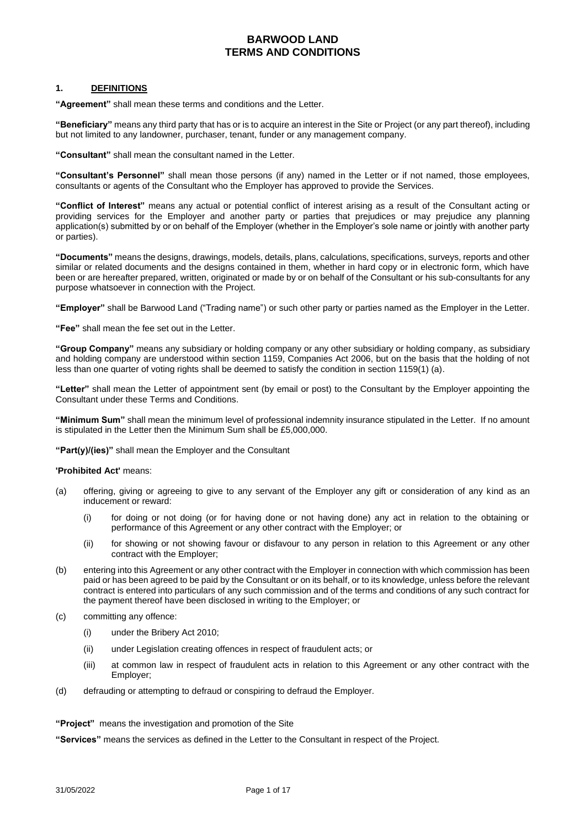#### **1. DEFINITIONS**

**"Agreement"** shall mean these terms and conditions and the Letter.

**"Beneficiary"** means any third party that has or is to acquire an interest in the Site or Project (or any part thereof), including but not limited to any landowner, purchaser, tenant, funder or any management company.

**"Consultant"** shall mean the consultant named in the Letter.

**"Consultant's Personnel"** shall mean those persons (if any) named in the Letter or if not named, those employees, consultants or agents of the Consultant who the Employer has approved to provide the Services.

**"Conflict of Interest"** means any actual or potential conflict of interest arising as a result of the Consultant acting or providing services for the Employer and another party or parties that prejudices or may prejudice any planning application(s) submitted by or on behalf of the Employer (whether in the Employer's sole name or jointly with another party or parties).

**"Documents"** means the designs, drawings, models, details, plans, calculations, specifications, surveys, reports and other similar or related documents and the designs contained in them, whether in hard copy or in electronic form, which have been or are hereafter prepared, written, originated or made by or on behalf of the Consultant or his sub-consultants for any purpose whatsoever in connection with the Project.

**"Employer"** shall be Barwood Land ("Trading name") or such other party or parties named as the Employer in the Letter.

**"Fee"** shall mean the fee set out in the Letter.

**"Group Company"** means any subsidiary or holding company or any other subsidiary or holding company, as subsidiary and holding company are understood within section 1159, Companies Act 2006, but on the basis that the holding of not less than one quarter of voting rights shall be deemed to satisfy the condition in section 1159(1) (a).

**"Letter"** shall mean the Letter of appointment sent (by email or post) to the Consultant by the Employer appointing the Consultant under these Terms and Conditions.

**"Minimum Sum"** shall mean the minimum level of professional indemnity insurance stipulated in the Letter. If no amount is stipulated in the Letter then the Minimum Sum shall be £5,000,000.

**"Part(y)/(ies)"** shall mean the Employer and the Consultant

#### **'Prohibited Act'** means:

- (a) offering, giving or agreeing to give to any servant of the Employer any gift or consideration of any kind as an inducement or reward:
	- (i) for doing or not doing (or for having done or not having done) any act in relation to the obtaining or performance of this Agreement or any other contract with the Employer; or
	- (ii) for showing or not showing favour or disfavour to any person in relation to this Agreement or any other contract with the Employer;
- (b) entering into this Agreement or any other contract with the Employer in connection with which commission has been paid or has been agreed to be paid by the Consultant or on its behalf, or to its knowledge, unless before the relevant contract is entered into particulars of any such commission and of the terms and conditions of any such contract for the payment thereof have been disclosed in writing to the Employer; or
- (c) committing any offence:
	- (i) under the Bribery Act 2010;
	- (ii) under Legislation creating offences in respect of fraudulent acts; or
	- (iii) at common law in respect of fraudulent acts in relation to this Agreement or any other contract with the Employer;
- (d) defrauding or attempting to defraud or conspiring to defraud the Employer.

**"Project"** means the investigation and promotion of the Site

**"Services"** means the services as defined in the Letter to the Consultant in respect of the Project.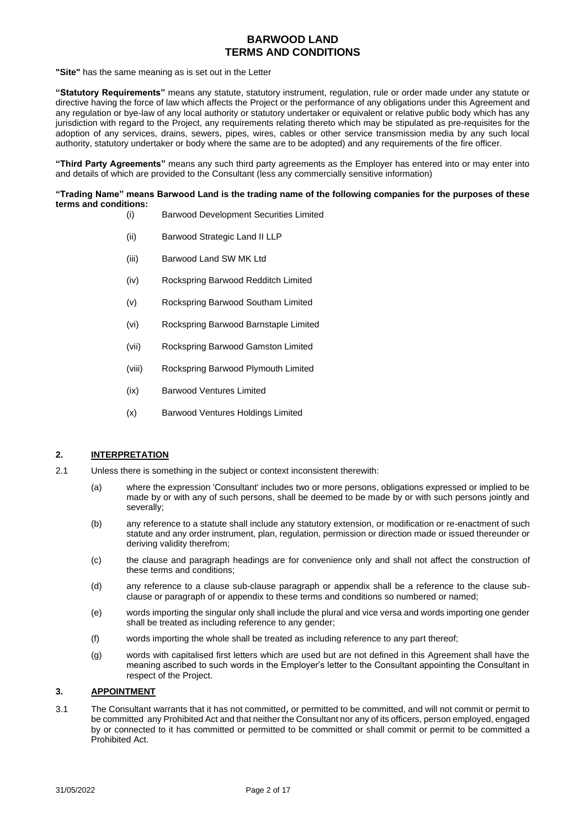**"Site"** has the same meaning as is set out in the Letter

**"Statutory Requirements"** means any statute, statutory instrument, regulation, rule or order made under any statute or directive having the force of law which affects the Project or the performance of any obligations under this Agreement and any regulation or bye-law of any local authority or statutory undertaker or equivalent or relative public body which has any jurisdiction with regard to the Project, any requirements relating thereto which may be stipulated as pre-requisites for the adoption of any services, drains, sewers, pipes, wires, cables or other service transmission media by any such local authority, statutory undertaker or body where the same are to be adopted) and any requirements of the fire officer.

**"Third Party Agreements"** means any such third party agreements as the Employer has entered into or may enter into and details of which are provided to the Consultant (less any commercially sensitive information)

#### **"Trading Name" means Barwood Land is the trading name of the following companies for the purposes of these terms and conditions:**

- (i) Barwood Development Securities Limited
- (ii) Barwood Strategic Land II LLP
- (iii) Barwood Land SW MK Ltd
- (iv) Rockspring Barwood Redditch Limited
- (v) Rockspring Barwood Southam Limited
- (vi) Rockspring Barwood Barnstaple Limited
- (vii) Rockspring Barwood Gamston Limited
- (viii) Rockspring Barwood Plymouth Limited
- (ix) Barwood Ventures Limited
- (x) Barwood Ventures Holdings Limited

### **2. INTERPRETATION**

- 2.1 Unless there is something in the subject or context inconsistent therewith:
	- (a) where the expression 'Consultant' includes two or more persons, obligations expressed or implied to be made by or with any of such persons, shall be deemed to be made by or with such persons jointly and severally;
	- (b) any reference to a statute shall include any statutory extension, or modification or re-enactment of such statute and any order instrument, plan, regulation, permission or direction made or issued thereunder or deriving validity therefrom;
	- (c) the clause and paragraph headings are for convenience only and shall not affect the construction of these terms and conditions;
	- (d) any reference to a clause sub-clause paragraph or appendix shall be a reference to the clause subclause or paragraph of or appendix to these terms and conditions so numbered or named;
	- (e) words importing the singular only shall include the plural and vice versa and words importing one gender shall be treated as including reference to any gender;
	- (f) words importing the whole shall be treated as including reference to any part thereof;
	- (g) words with capitalised first letters which are used but are not defined in this Agreement shall have the meaning ascribed to such words in the Employer's letter to the Consultant appointing the Consultant in respect of the Project.

#### **3. APPOINTMENT**

3.1 The Consultant warrants that it has not committed, or permitted to be committed, and will not commit or permit to be committed any Prohibited Act and that neither the Consultant nor any of its officers, person employed, engaged by or connected to it has committed or permitted to be committed or shall commit or permit to be committed a Prohibited Act.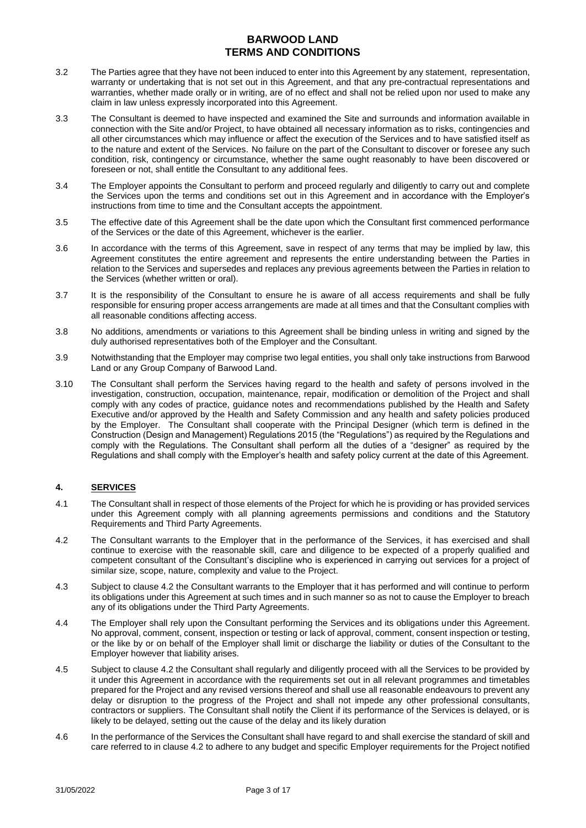- 3.2 The Parties agree that they have not been induced to enter into this Agreement by any statement, representation, warranty or undertaking that is not set out in this Agreement, and that any pre-contractual representations and warranties, whether made orally or in writing, are of no effect and shall not be relied upon nor used to make any claim in law unless expressly incorporated into this Agreement.
- 3.3 The Consultant is deemed to have inspected and examined the Site and surrounds and information available in connection with the Site and/or Project, to have obtained all necessary information as to risks, contingencies and all other circumstances which may influence or affect the execution of the Services and to have satisfied itself as to the nature and extent of the Services. No failure on the part of the Consultant to discover or foresee any such condition, risk, contingency or circumstance, whether the same ought reasonably to have been discovered or foreseen or not, shall entitle the Consultant to any additional fees.
- 3.4 The Employer appoints the Consultant to perform and proceed regularly and diligently to carry out and complete the Services upon the terms and conditions set out in this Agreement and in accordance with the Employer's instructions from time to time and the Consultant accepts the appointment.
- 3.5 The effective date of this Agreement shall be the date upon which the Consultant first commenced performance of the Services or the date of this Agreement, whichever is the earlier.
- 3.6 In accordance with the terms of this Agreement, save in respect of any terms that may be implied by law, this Agreement constitutes the entire agreement and represents the entire understanding between the Parties in relation to the Services and supersedes and replaces any previous agreements between the Parties in relation to the Services (whether written or oral).
- 3.7 It is the responsibility of the Consultant to ensure he is aware of all access requirements and shall be fully responsible for ensuring proper access arrangements are made at all times and that the Consultant complies with all reasonable conditions affecting access.
- 3.8 No additions, amendments or variations to this Agreement shall be binding unless in writing and signed by the duly authorised representatives both of the Employer and the Consultant.
- 3.9 Notwithstanding that the Employer may comprise two legal entities, you shall only take instructions from Barwood Land or any Group Company of Barwood Land.
- 3.10 The Consultant shall perform the Services having regard to the health and safety of persons involved in the investigation, construction, occupation, maintenance, repair, modification or demolition of the Project and shall comply with any codes of practice, guidance notes and recommendations published by the Health and Safety Executive and/or approved by the Health and Safety Commission and any health and safety policies produced by the Employer. The Consultant shall cooperate with the Principal Designer (which term is defined in the Construction (Design and Management) Regulations 2015 (the "Regulations") as required by the Regulations and comply with the Regulations. The Consultant shall perform all the duties of a "designer" as required by the Regulations and shall comply with the Employer's health and safety policy current at the date of this Agreement.

### **4. SERVICES**

- 4.1 The Consultant shall in respect of those elements of the Project for which he is providing or has provided services under this Agreement comply with all planning agreements permissions and conditions and the Statutory Requirements and Third Party Agreements.
- 4.2 The Consultant warrants to the Employer that in the performance of the Services, it has exercised and shall continue to exercise with the reasonable skill, care and diligence to be expected of a properly qualified and competent consultant of the Consultant's discipline who is experienced in carrying out services for a project of similar size, scope, nature, complexity and value to the Project.
- 4.3 Subject to clause 4.2 the Consultant warrants to the Employer that it has performed and will continue to perform its obligations under this Agreement at such times and in such manner so as not to cause the Employer to breach any of its obligations under the Third Party Agreements.
- 4.4 The Employer shall rely upon the Consultant performing the Services and its obligations under this Agreement. No approval, comment, consent, inspection or testing or lack of approval, comment, consent inspection or testing, or the like by or on behalf of the Employer shall limit or discharge the liability or duties of the Consultant to the Employer however that liability arises.
- 4.5 Subject to clause 4.2 the Consultant shall regularly and diligently proceed with all the Services to be provided by it under this Agreement in accordance with the requirements set out in all relevant programmes and timetables prepared for the Project and any revised versions thereof and shall use all reasonable endeavours to prevent any delay or disruption to the progress of the Project and shall not impede any other professional consultants, contractors or suppliers. The Consultant shall notify the Client if its performance of the Services is delayed, or is likely to be delayed, setting out the cause of the delay and its likely duration
- 4.6 In the performance of the Services the Consultant shall have regard to and shall exercise the standard of skill and care referred to in clause 4.2 to adhere to any budget and specific Employer requirements for the Project notified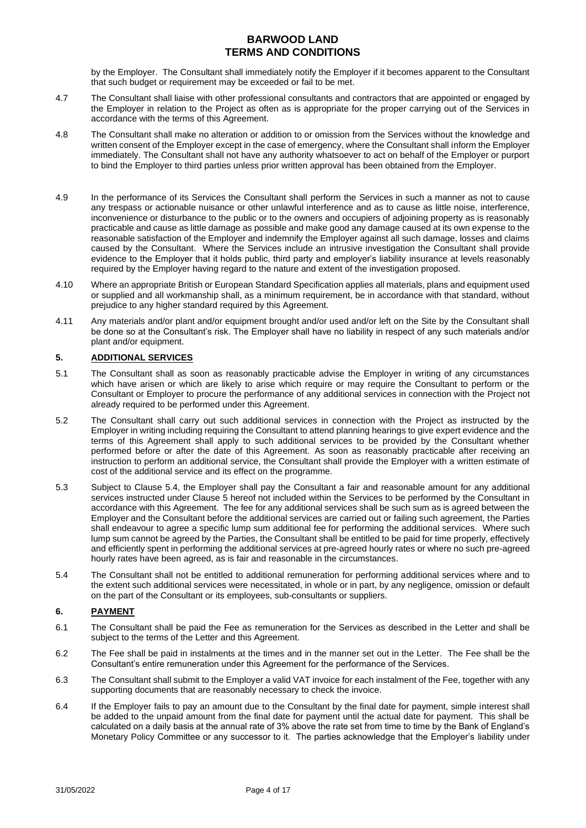by the Employer. The Consultant shall immediately notify the Employer if it becomes apparent to the Consultant that such budget or requirement may be exceeded or fail to be met.

- 4.7 The Consultant shall liaise with other professional consultants and contractors that are appointed or engaged by the Employer in relation to the Project as often as is appropriate for the proper carrying out of the Services in accordance with the terms of this Agreement.
- 4.8 The Consultant shall make no alteration or addition to or omission from the Services without the knowledge and written consent of the Employer except in the case of emergency, where the Consultant shall inform the Employer immediately. The Consultant shall not have any authority whatsoever to act on behalf of the Employer or purport to bind the Employer to third parties unless prior written approval has been obtained from the Employer.
- 4.9 In the performance of its Services the Consultant shall perform the Services in such a manner as not to cause any trespass or actionable nuisance or other unlawful interference and as to cause as little noise, interference, inconvenience or disturbance to the public or to the owners and occupiers of adjoining property as is reasonably practicable and cause as little damage as possible and make good any damage caused at its own expense to the reasonable satisfaction of the Employer and indemnify the Employer against all such damage, losses and claims caused by the Consultant. Where the Services include an intrusive investigation the Consultant shall provide evidence to the Employer that it holds public, third party and employer's liability insurance at levels reasonably required by the Employer having regard to the nature and extent of the investigation proposed.
- 4.10 Where an appropriate British or European Standard Specification applies all materials, plans and equipment used or supplied and all workmanship shall, as a minimum requirement, be in accordance with that standard, without prejudice to any higher standard required by this Agreement.
- 4.11 Any materials and/or plant and/or equipment brought and/or used and/or left on the Site by the Consultant shall be done so at the Consultant's risk. The Employer shall have no liability in respect of any such materials and/or plant and/or equipment.

### <span id="page-3-0"></span>**5. ADDITIONAL SERVICES**

- 5.1 The Consultant shall as soon as reasonably practicable advise the Employer in writing of any circumstances which have arisen or which are likely to arise which require or may require the Consultant to perform or the Consultant or Employer to procure the performance of any additional services in connection with the Project not already required to be performed under this Agreement.
- 5.2 The Consultant shall carry out such additional services in connection with the Project as instructed by the Employer in writing including requiring the Consultant to attend planning hearings to give expert evidence and the terms of this Agreement shall apply to such additional services to be provided by the Consultant whether performed before or after the date of this Agreement. As soon as reasonably practicable after receiving an instruction to perform an additional service, the Consultant shall provide the Employer with a written estimate of cost of the additional service and its effect on the programme.
- 5.3 Subject to Clause 5.4, the Employer shall pay the Consultant a fair and reasonable amount for any additional services instructed under Clause [5](#page-3-0) hereof not included within the Services to be performed by the Consultant in accordance with this Agreement. The fee for any additional services shall be such sum as is agreed between the Employer and the Consultant before the additional services are carried out or failing such agreement, the Parties shall endeavour to agree a specific lump sum additional fee for performing the additional services. Where such lump sum cannot be agreed by the Parties, the Consultant shall be entitled to be paid for time properly, effectively and efficiently spent in performing the additional services at pre-agreed hourly rates or where no such pre-agreed hourly rates have been agreed, as is fair and reasonable in the circumstances.
- 5.4 The Consultant shall not be entitled to additional remuneration for performing additional services where and to the extent such additional services were necessitated, in whole or in part, by any negligence, omission or default on the part of the Consultant or its employees, sub-consultants or suppliers.

### **6. PAYMENT**

- 6.1 The Consultant shall be paid the Fee as remuneration for the Services as described in the Letter and shall be subject to the terms of the Letter and this Agreement.
- <span id="page-3-1"></span>6.2 The Fee shall be paid in instalments at the times and in the manner set out in the Letter. The Fee shall be the Consultant's entire remuneration under this Agreement for the performance of the Services.
- <span id="page-3-2"></span>6.3 The Consultant shall submit to the Employer a valid VAT invoice for each instalment of the Fee, together with any supporting documents that are reasonably necessary to check the invoice.
- 6.4 If the Employer fails to pay an amount due to the Consultant by the final date for payment, simple interest shall be added to the unpaid amount from the final date for payment until the actual date for payment. This shall be calculated on a daily basis at the annual rate of 3% above the rate set from time to time by the Bank of England's Monetary Policy Committee or any successor to it. The parties acknowledge that the Employer's liability under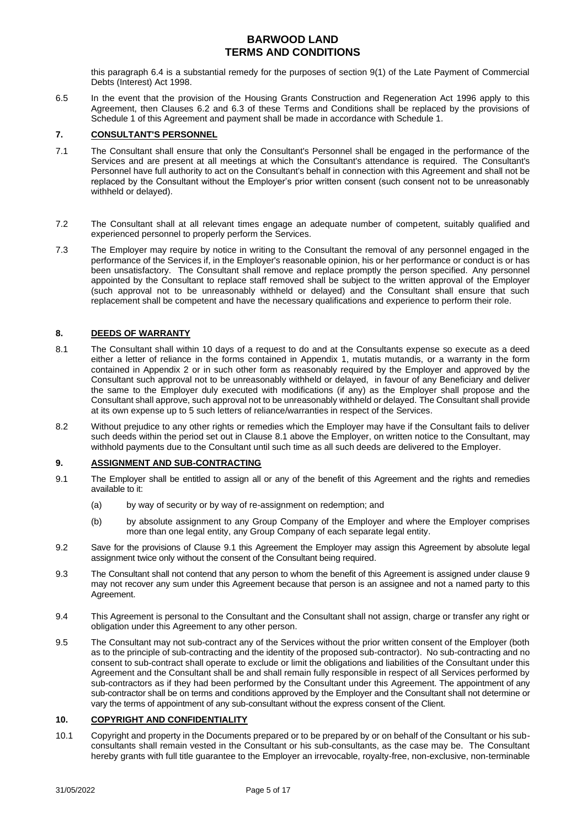this paragraph 6.4 is a substantial remedy for the purposes of section 9(1) of the Late Payment of Commercial Debts (Interest) Act 1998.

6.5 In the event that the provision of the Housing Grants Construction and Regeneration Act 1996 apply to this Agreement, then Clauses [6.2](#page-3-1) and [6.3](#page-3-2) of these Terms and Conditions shall be replaced by the provisions of Schedule 1 of this Agreement and payment shall be made in accordance with Schedule 1.

### **7. CONSULTANT'S PERSONNEL**

- 7.1 The Consultant shall ensure that only the Consultant's Personnel shall be engaged in the performance of the Services and are present at all meetings at which the Consultant's attendance is required. The Consultant's Personnel have full authority to act on the Consultant's behalf in connection with this Agreement and shall not be replaced by the Consultant without the Employer's prior written consent (such consent not to be unreasonably withheld or delayed).
- 7.2 The Consultant shall at all relevant times engage an adequate number of competent, suitably qualified and experienced personnel to properly perform the Services.
- 7.3 The Employer may require by notice in writing to the Consultant the removal of any personnel engaged in the performance of the Services if, in the Employer's reasonable opinion, his or her performance or conduct is or has been unsatisfactory. The Consultant shall remove and replace promptly the person specified. Any personnel appointed by the Consultant to replace staff removed shall be subject to the written approval of the Employer (such approval not to be unreasonably withheld or delayed) and the Consultant shall ensure that such replacement shall be competent and have the necessary qualifications and experience to perform their role.

### **8. DEEDS OF WARRANTY**

- <span id="page-4-0"></span>8.1 The Consultant shall within 10 days of a request to do and at the Consultants expense so execute as a deed either a letter of reliance in the forms contained in Appendix 1, mutatis mutandis, or a warranty in the form contained in Appendix 2 or in such other form as reasonably required by the Employer and approved by the Consultant such approval not to be unreasonably withheld or delayed, in favour of any Beneficiary and deliver the same to the Employer duly executed with modifications (if any) as the Employer shall propose and the Consultant shall approve, such approval not to be unreasonably withheld or delayed. The Consultant shall provide at its own expense up to 5 such letters of reliance/warranties in respect of the Services.
- 8.2 Without prejudice to any other rights or remedies which the Employer may have if the Consultant fails to deliver such deeds within the period set out in Clause [8.1](#page-4-0) above the Employer, on written notice to the Consultant, may withhold payments due to the Consultant until such time as all such deeds are delivered to the Employer.

### **9. ASSIGNMENT AND SUB-CONTRACTING**

- 9.1 The Employer shall be entitled to assign all or any of the benefit of this Agreement and the rights and remedies available to it:
	- (a) by way of security or by way of re-assignment on redemption; and
	- (b) by absolute assignment to any Group Company of the Employer and where the Employer comprises more than one legal entity, any Group Company of each separate legal entity.
- 9.2 Save for the provisions of Clause 9.1 this Agreement the Employer may assign this Agreement by absolute legal assignment twice only without the consent of the Consultant being required.
- 9.3 The Consultant shall not contend that any person to whom the benefit of this Agreement is assigned under clause 9 may not recover any sum under this Agreement because that person is an assignee and not a named party to this Agreement.
- 9.4 This Agreement is personal to the Consultant and the Consultant shall not assign, charge or transfer any right or obligation under this Agreement to any other person.
- 9.5 The Consultant may not sub-contract any of the Services without the prior written consent of the Employer (both as to the principle of sub-contracting and the identity of the proposed sub-contractor). No sub-contracting and no consent to sub-contract shall operate to exclude or limit the obligations and liabilities of the Consultant under this Agreement and the Consultant shall be and shall remain fully responsible in respect of all Services performed by sub-contractors as if they had been performed by the Consultant under this Agreement. The appointment of any sub-contractor shall be on terms and conditions approved by the Employer and the Consultant shall not determine or vary the terms of appointment of any sub-consultant without the express consent of the Client.

#### **10. COPYRIGHT AND CONFIDENTIALITY**

<span id="page-4-1"></span>10.1 Copyright and property in the Documents prepared or to be prepared by or on behalf of the Consultant or his subconsultants shall remain vested in the Consultant or his sub-consultants, as the case may be. The Consultant hereby grants with full title guarantee to the Employer an irrevocable, royalty-free, non-exclusive, non-terminable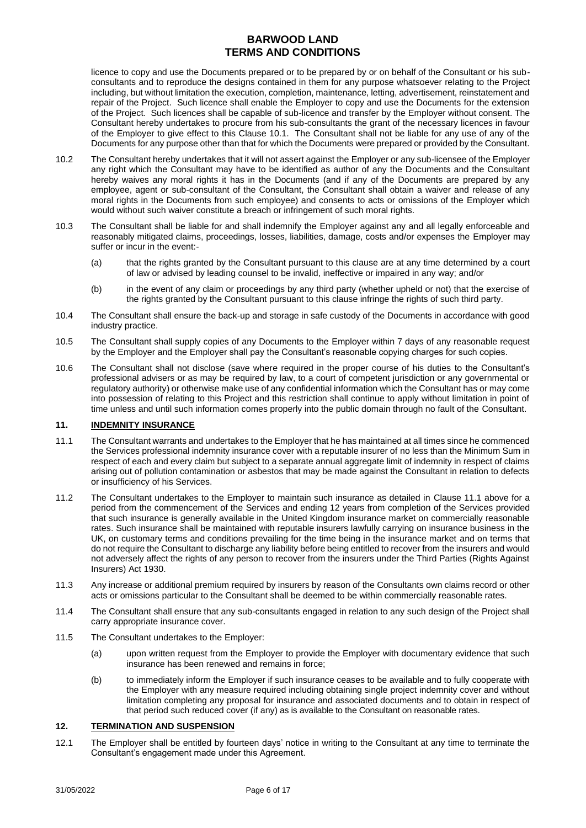licence to copy and use the Documents prepared or to be prepared by or on behalf of the Consultant or his subconsultants and to reproduce the designs contained in them for any purpose whatsoever relating to the Project including, but without limitation the execution, completion, maintenance, letting, advertisement, reinstatement and repair of the Project. Such licence shall enable the Employer to copy and use the Documents for the extension of the Project. Such licences shall be capable of sub-licence and transfer by the Employer without consent. The Consultant hereby undertakes to procure from his sub-consultants the grant of the necessary licences in favour of the Employer to give effect to this Clause [10.1.](#page-4-1) The Consultant shall not be liable for any use of any of the Documents for any purpose other than that for which the Documents were prepared or provided by the Consultant.

- 10.2 The Consultant hereby undertakes that it will not assert against the Employer or any sub-licensee of the Employer any right which the Consultant may have to be identified as author of any the Documents and the Consultant hereby waives any moral rights it has in the Documents (and if any of the Documents are prepared by any employee, agent or sub-consultant of the Consultant, the Consultant shall obtain a waiver and release of any moral rights in the Documents from such employee) and consents to acts or omissions of the Employer which would without such waiver constitute a breach or infringement of such moral rights.
- 10.3 The Consultant shall be liable for and shall indemnify the Employer against any and all legally enforceable and reasonably mitigated claims, proceedings, losses, liabilities, damage, costs and/or expenses the Employer may suffer or incur in the event:-
	- (a) that the rights granted by the Consultant pursuant to this clause are at any time determined by a court of law or advised by leading counsel to be invalid, ineffective or impaired in any way; and/or
	- (b) in the event of any claim or proceedings by any third party (whether upheld or not) that the exercise of the rights granted by the Consultant pursuant to this clause infringe the rights of such third party.
- 10.4 The Consultant shall ensure the back-up and storage in safe custody of the Documents in accordance with good industry practice.
- 10.5 The Consultant shall supply copies of any Documents to the Employer within 7 days of any reasonable request by the Employer and the Employer shall pay the Consultant's reasonable copying charges for such copies.
- 10.6 The Consultant shall not disclose (save where required in the proper course of his duties to the Consultant's professional advisers or as may be required by law, to a court of competent jurisdiction or any governmental or regulatory authority) or otherwise make use of any confidential information which the Consultant has or may come into possession of relating to this Project and this restriction shall continue to apply without limitation in point of time unless and until such information comes properly into the public domain through no fault of the Consultant.

### **11. INDEMNITY INSURANCE**

- <span id="page-5-0"></span>11.1 The Consultant warrants and undertakes to the Employer that he has maintained at all times since he commenced the Services professional indemnity insurance cover with a reputable insurer of no less than the Minimum Sum in respect of each and every claim but subject to a separate annual aggregate limit of indemnity in respect of claims arising out of pollution contamination or asbestos that may be made against the Consultant in relation to defects or insufficiency of his Services.
- 11.2 The Consultant undertakes to the Employer to maintain such insurance as detailed in Clause [11.1](#page-5-0) above for a period from the commencement of the Services and ending 12 years from completion of the Services provided that such insurance is generally available in the United Kingdom insurance market on commercially reasonable rates. Such insurance shall be maintained with reputable insurers lawfully carrying on insurance business in the UK, on customary terms and conditions prevailing for the time being in the insurance market and on terms that do not require the Consultant to discharge any liability before being entitled to recover from the insurers and would not adversely affect the rights of any person to recover from the insurers under the Third Parties (Rights Against Insurers) Act 1930.
- 11.3 Any increase or additional premium required by insurers by reason of the Consultants own claims record or other acts or omissions particular to the Consultant shall be deemed to be within commercially reasonable rates.
- 11.4 The Consultant shall ensure that any sub-consultants engaged in relation to any such design of the Project shall carry appropriate insurance cover.
- 11.5 The Consultant undertakes to the Employer:
	- (a) upon written request from the Employer to provide the Employer with documentary evidence that such insurance has been renewed and remains in force;
	- (b) to immediately inform the Employer if such insurance ceases to be available and to fully cooperate with the Employer with any measure required including obtaining single project indemnity cover and without limitation completing any proposal for insurance and associated documents and to obtain in respect of that period such reduced cover (if any) as is available to the Consultant on reasonable rates.

### <span id="page-5-1"></span>**12. TERMINATION AND SUSPENSION**

12.1 The Employer shall be entitled by fourteen days' notice in writing to the Consultant at any time to terminate the Consultant's engagement made under this Agreement.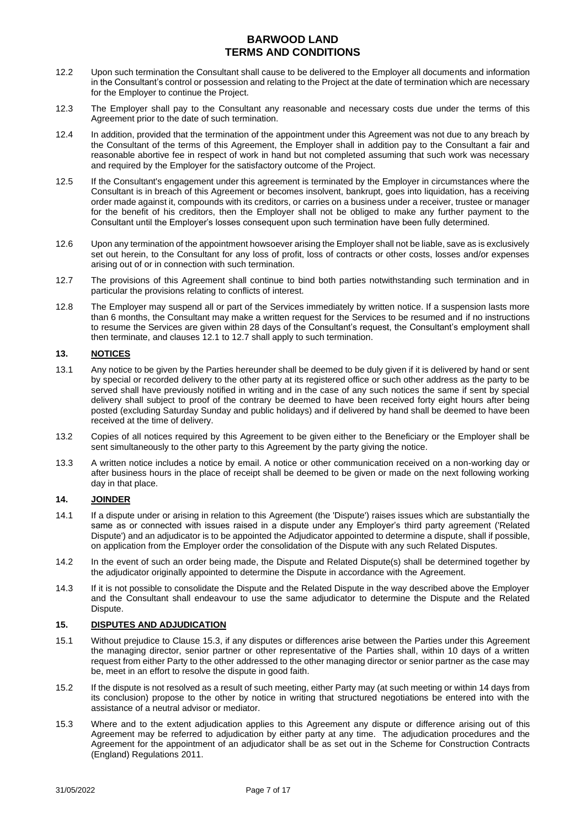- 12.2 Upon such termination the Consultant shall cause to be delivered to the Employer all documents and information in the Consultant's control or possession and relating to the Project at the date of termination which are necessary for the Employer to continue the Project.
- 12.3 The Employer shall pay to the Consultant any reasonable and necessary costs due under the terms of this Agreement prior to the date of such termination.
- 12.4 In addition, provided that the termination of the appointment under this Agreement was not due to any breach by the Consultant of the terms of this Agreement, the Employer shall in addition pay to the Consultant a fair and reasonable abortive fee in respect of work in hand but not completed assuming that such work was necessary and required by the Employer for the satisfactory outcome of the Project.
- 12.5 If the Consultant's engagement under this agreement is terminated by the Employer in circumstances where the Consultant is in breach of this Agreement or becomes insolvent, bankrupt, goes into liquidation, has a receiving order made against it, compounds with its creditors, or carries on a business under a receiver, trustee or manager for the benefit of his creditors, then the Employer shall not be obliged to make any further payment to the Consultant until the Employer's losses consequent upon such termination have been fully determined.
- 12.6 Upon any termination of the appointment howsoever arising the Employer shall not be liable, save as is exclusively set out herein, to the Consultant for any loss of profit, loss of contracts or other costs, losses and/or expenses arising out of or in connection with such termination.
- 12.7 The provisions of this Agreement shall continue to bind both parties notwithstanding such termination and in particular the provisions relating to conflicts of interest.
- 12.8 The Employer may suspend all or part of the Services immediately by written notice. If a suspension lasts more than 6 months, the Consultant may make a written request for the Services to be resumed and if no instructions to resume the Services are given within 28 days of the Consultant's request, the Consultant's employment shall then terminate, and clauses 12.1 to 12.7 shall apply to such termination.

### **13. NOTICES**

- 13.1 Any notice to be given by the Parties hereunder shall be deemed to be duly given if it is delivered by hand or sent by special or recorded delivery to the other party at its registered office or such other address as the party to be served shall have previously notified in writing and in the case of any such notices the same if sent by special delivery shall subject to proof of the contrary be deemed to have been received forty eight hours after being posted (excluding Saturday Sunday and public holidays) and if delivered by hand shall be deemed to have been received at the time of delivery.
- 13.2 Copies of all notices required by this Agreement to be given either to the Beneficiary or the Employer shall be sent simultaneously to the other party to this Agreement by the party giving the notice.
- 13.3 A written notice includes a notice by email. A notice or other communication received on a non-working day or after business hours in the place of receipt shall be deemed to be given or made on the next following working day in that place.

### **14. JOINDER**

- 14.1 If a dispute under or arising in relation to this Agreement (the 'Dispute') raises issues which are substantially the same as or connected with issues raised in a dispute under any Employer's third party agreement ('Related Dispute') and an adjudicator is to be appointed the Adjudicator appointed to determine a dispute, shall if possible, on application from the Employer order the consolidation of the Dispute with any such Related Disputes.
- 14.2 In the event of such an order being made, the Dispute and Related Dispute(s) shall be determined together by the adjudicator originally appointed to determine the Dispute in accordance with the Agreement.
- 14.3 If it is not possible to consolidate the Dispute and the Related Dispute in the way described above the Employer and the Consultant shall endeavour to use the same adjudicator to determine the Dispute and the Related Dispute.

### **15. DISPUTES AND ADJUDICATION**

- 15.1 Without prejudice to Clause [15.3,](#page-6-0) if any disputes or differences arise between the Parties under this Agreement the managing director, senior partner or other representative of the Parties shall, within 10 days of a written request from either Party to the other addressed to the other managing director or senior partner as the case may be, meet in an effort to resolve the dispute in good faith.
- 15.2 If the dispute is not resolved as a result of such meeting, either Party may (at such meeting or within 14 days from its conclusion) propose to the other by notice in writing that structured negotiations be entered into with the assistance of a neutral advisor or mediator.
- <span id="page-6-0"></span>15.3 Where and to the extent adjudication applies to this Agreement any dispute or difference arising out of this Agreement may be referred to adjudication by either party at any time. The adjudication procedures and the Agreement for the appointment of an adjudicator shall be as set out in the Scheme for Construction Contracts (England) Regulations 2011.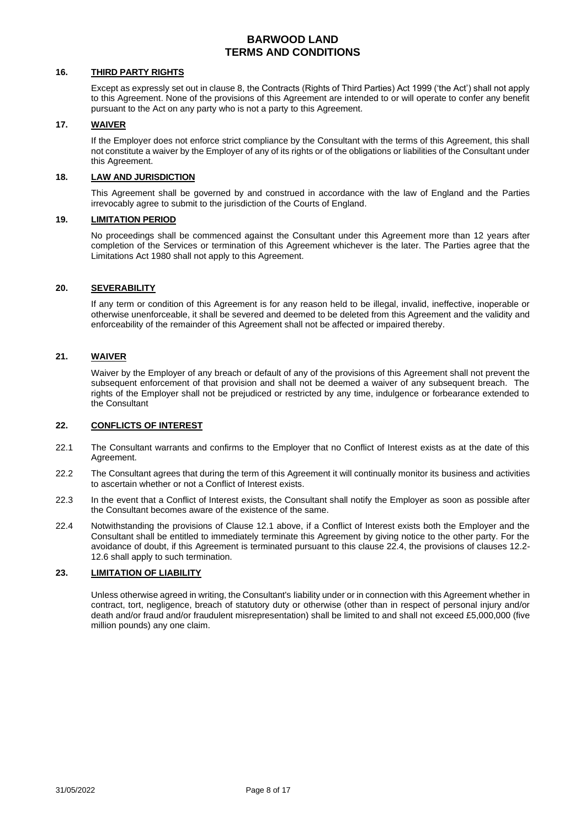### **16. THIRD PARTY RIGHTS**

Except as expressly set out in clause 8, the Contracts (Rights of Third Parties) Act 1999 ('the Act') shall not apply to this Agreement. None of the provisions of this Agreement are intended to or will operate to confer any benefit pursuant to the Act on any party who is not a party to this Agreement.

#### **17. WAIVER**

If the Employer does not enforce strict compliance by the Consultant with the terms of this Agreement, this shall not constitute a waiver by the Employer of any of its rights or of the obligations or liabilities of the Consultant under this Agreement.

### **18. LAW AND JURISDICTION**

This Agreement shall be governed by and construed in accordance with the law of England and the Parties irrevocably agree to submit to the jurisdiction of the Courts of England.

### **19. LIMITATION PERIOD**

No proceedings shall be commenced against the Consultant under this Agreement more than 12 years after completion of the Services or termination of this Agreement whichever is the later. The Parties agree that the Limitations Act 1980 shall not apply to this Agreement.

#### **20. SEVERABILITY**

If any term or condition of this Agreement is for any reason held to be illegal, invalid, ineffective, inoperable or otherwise unenforceable, it shall be severed and deemed to be deleted from this Agreement and the validity and enforceability of the remainder of this Agreement shall not be affected or impaired thereby.

#### **21. WAIVER**

Waiver by the Employer of any breach or default of any of the provisions of this Agreement shall not prevent the subsequent enforcement of that provision and shall not be deemed a waiver of any subsequent breach. The rights of the Employer shall not be prejudiced or restricted by any time, indulgence or forbearance extended to the Consultant

### **22. CONFLICTS OF INTEREST**

- 22.1 The Consultant warrants and confirms to the Employer that no Conflict of Interest exists as at the date of this Agreement.
- 22.2 The Consultant agrees that during the term of this Agreement it will continually monitor its business and activities to ascertain whether or not a Conflict of Interest exists.
- 22.3 In the event that a Conflict of Interest exists, the Consultant shall notify the Employer as soon as possible after the Consultant becomes aware of the existence of the same.
- 22.4 Notwithstanding the provisions of Clause 12.1 above, if a Conflict of Interest exists both the Employer and the Consultant shall be entitled to immediately terminate this Agreement by giving notice to the other party. For the avoidance of doubt, if this Agreement is terminated pursuant to this clause 22.4, the provisions of clauses 12.2- 12.6 shall apply to such termination.

#### **23. LIMITATION OF LIABILITY**

Unless otherwise agreed in writing, the Consultant's liability under or in connection with this Agreement whether in contract, tort, negligence, breach of statutory duty or otherwise (other than in respect of personal injury and/or death and/or fraud and/or fraudulent misrepresentation) shall be limited to and shall not exceed £5,000,000 (five million pounds) any one claim.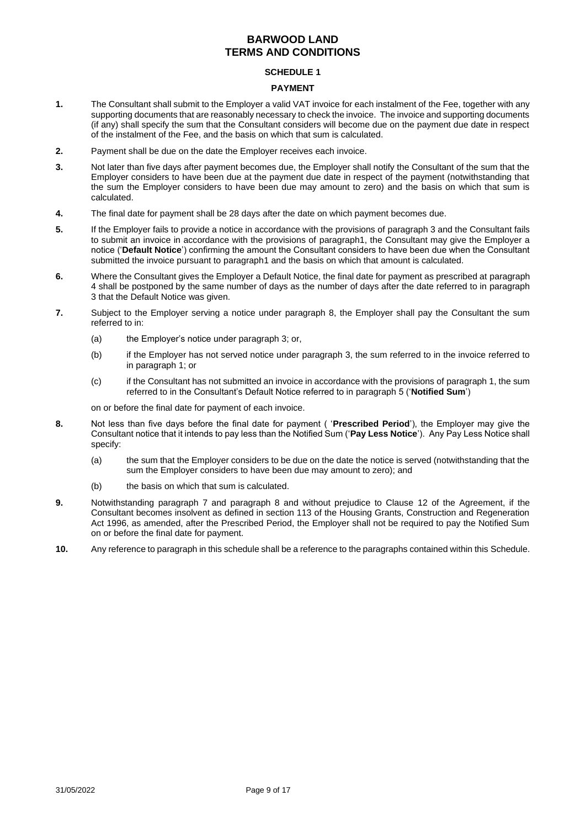#### **SCHEDULE 1**

#### **PAYMENT**

- **1.** The Consultant shall submit to the Employer a valid VAT invoice for each instalment of the Fee, together with any supporting documents that are reasonably necessary to check the invoice. The invoice and supporting documents (if any) shall specify the sum that the Consultant considers will become due on the payment due date in respect of the instalment of the Fee, and the basis on which that sum is calculated.
- **2.** Payment shall be due on the date the Employer receives each invoice.
- **3.** Not later than five days after payment becomes due, the Employer shall notify the Consultant of the sum that the Employer considers to have been due at the payment due date in respect of the payment (notwithstanding that the sum the Employer considers to have been due may amount to zero) and the basis on which that sum is calculated.
- **4.** The final date for payment shall be 28 days after the date on which payment becomes due.
- **5.** If the Employer fails to provide a notice in accordance with the provisions of paragraph 3 and the Consultant fails to submit an invoice in accordance with the provisions of paragraph1, the Consultant may give the Employer a notice ('**Default Notice**') confirming the amount the Consultant considers to have been due when the Consultant submitted the invoice pursuant to paragraph1 and the basis on which that amount is calculated.
- **6.** Where the Consultant gives the Employer a Default Notice, the final date for payment as prescribed at paragraph 4 shall be postponed by the same number of days as the number of days after the date referred to in paragraph 3 that the Default Notice was given.
- **7.** Subject to the Employer serving a notice under paragraph 8, the Employer shall pay the Consultant the sum referred to in:
	- (a) the Employer's notice under paragraph 3; or,
	- (b) if the Employer has not served notice under paragraph 3, the sum referred to in the invoice referred to in paragraph 1; or
	- (c) if the Consultant has not submitted an invoice in accordance with the provisions of paragraph 1, the sum referred to in the Consultant's Default Notice referred to in paragraph 5 ('**Notified Sum**')

on or before the final date for payment of each invoice.

- **8.** Not less than five days before the final date for payment ( '**Prescribed Period**'), the Employer may give the Consultant notice that it intends to pay less than the Notified Sum ('**Pay Less Notice**'). Any Pay Less Notice shall specify:
	- (a) the sum that the Employer considers to be due on the date the notice is served (notwithstanding that the sum the Employer considers to have been due may amount to zero); and
	- (b) the basis on which that sum is calculated.
- **9.** Notwithstanding paragraph 7 and paragraph 8 and without prejudice to Clause [12](#page-5-1) of the Agreement, if the Consultant becomes insolvent as defined in section 113 of the Housing Grants, Construction and Regeneration Act 1996, as amended, after the Prescribed Period, the Employer shall not be required to pay the Notified Sum on or before the final date for payment.
- **10.** Any reference to paragraph in this schedule shall be a reference to the paragraphs contained within this Schedule.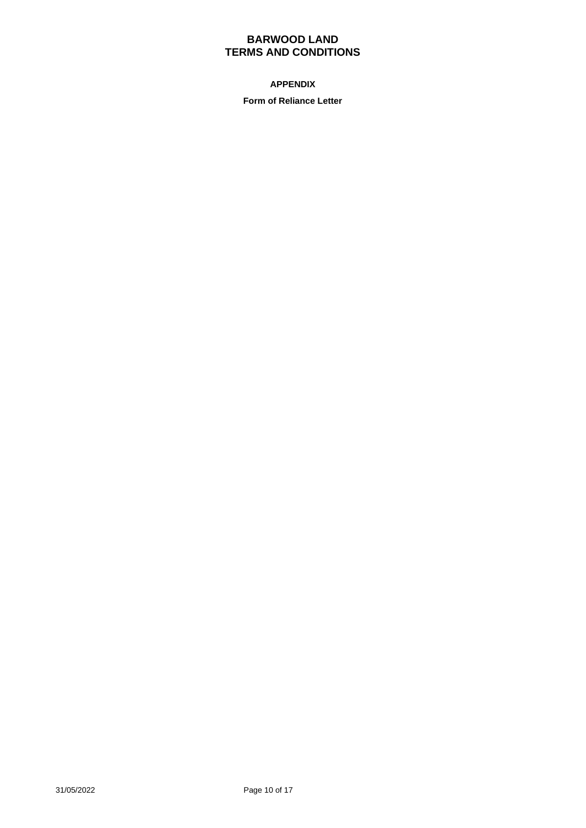## **APPENDIX**

**Form of Reliance Letter**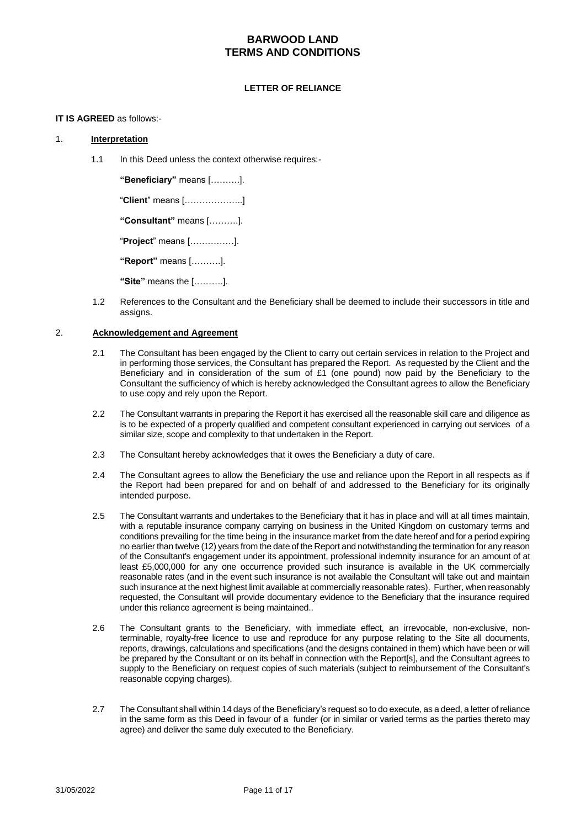#### **LETTER OF RELIANCE**

#### **IT IS AGREED** as follows:-

### 1. **Interpretation**

1.1 In this Deed unless the context otherwise requires:-

**"Beneficiary"** means [……….].

"**Client**" means [………………..]

**"Consultant"** means [……….].

"**Project**" means [……………].

**"Report"** means [……….].

**"Site"** means the [……….].

1.2 References to the Consultant and the Beneficiary shall be deemed to include their successors in title and assigns.

### 2. **Acknowledgement and Agreement**

- 2.1 The Consultant has been engaged by the Client to carry out certain services in relation to the Project and in performing those services, the Consultant has prepared the Report. As requested by the Client and the Beneficiary and in consideration of the sum of £1 (one pound) now paid by the Beneficiary to the Consultant the sufficiency of which is hereby acknowledged the Consultant agrees to allow the Beneficiary to use copy and rely upon the Report.
- 2.2 The Consultant warrants in preparing the Report it has exercised all the reasonable skill care and diligence as is to be expected of a properly qualified and competent consultant experienced in carrying out services of a similar size, scope and complexity to that undertaken in the Report.
- 2.3 The Consultant hereby acknowledges that it owes the Beneficiary a duty of care.
- 2.4 The Consultant agrees to allow the Beneficiary the use and reliance upon the Report in all respects as if the Report had been prepared for and on behalf of and addressed to the Beneficiary for its originally intended purpose.
- 2.5 The Consultant warrants and undertakes to the Beneficiary that it has in place and will at all times maintain, with a reputable insurance company carrying on business in the United Kingdom on customary terms and conditions prevailing for the time being in the insurance market from the date hereof and for a period expiring no earlier than twelve (12) years from the date of the Report and notwithstanding the termination for any reason of the Consultant's engagement under its appointment, professional indemnity insurance for an amount of at least £5,000,000 for any one occurrence provided such insurance is available in the UK commercially reasonable rates (and in the event such insurance is not available the Consultant will take out and maintain such insurance at the next highest limit available at commercially reasonable rates). Further, when reasonably requested, the Consultant will provide documentary evidence to the Beneficiary that the insurance required under this reliance agreement is being maintained..
- 2.6 The Consultant grants to the Beneficiary, with immediate effect, an irrevocable, non-exclusive, nonterminable, royalty-free licence to use and reproduce for any purpose relating to the Site all documents, reports, drawings, calculations and specifications (and the designs contained in them) which have been or will be prepared by the Consultant or on its behalf in connection with the Report[s], and the Consultant agrees to supply to the Beneficiary on request copies of such materials (subject to reimbursement of the Consultant's reasonable copying charges).
- 2.7 The Consultant shall within 14 days of the Beneficiary's request so to do execute, as a deed, a letter of reliance in the same form as this Deed in favour of a funder (or in similar or varied terms as the parties thereto may agree) and deliver the same duly executed to the Beneficiary.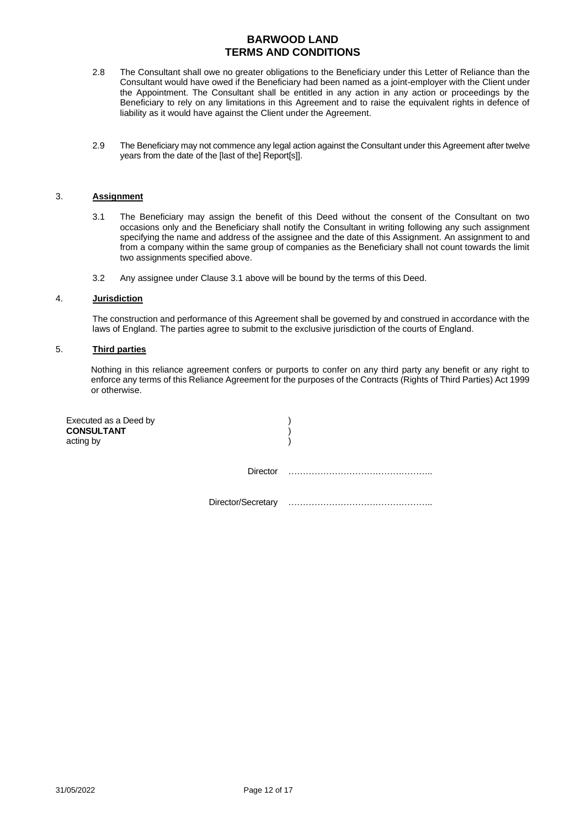- 2.8 The Consultant shall owe no greater obligations to the Beneficiary under this Letter of Reliance than the Consultant would have owed if the Beneficiary had been named as a joint-employer with the Client under the Appointment. The Consultant shall be entitled in any action in any action or proceedings by the Beneficiary to rely on any limitations in this Agreement and to raise the equivalent rights in defence of liability as it would have against the Client under the Agreement.
- 2.9 The Beneficiary may not commence any legal action against the Consultant under this Agreement after twelve years from the date of the [last of the] Report[s]].

#### 3. **Assignment**

- 3.1 The Beneficiary may assign the benefit of this Deed without the consent of the Consultant on two occasions only and the Beneficiary shall notify the Consultant in writing following any such assignment specifying the name and address of the assignee and the date of this Assignment. An assignment to and from a company within the same group of companies as the Beneficiary shall not count towards the limit two assignments specified above.
- 3.2 Any assignee under Clause 3.1 above will be bound by the terms of this Deed.

### 4. **Jurisdiction**

The construction and performance of this Agreement shall be governed by and construed in accordance with the laws of England. The parties agree to submit to the exclusive jurisdiction of the courts of England.

### 5. **Third parties**

Nothing in this reliance agreement confers or purports to confer on any third party any benefit or any right to enforce any terms of this Reliance Agreement for the purposes of the Contracts (Rights of Third Parties) Act 1999 or otherwise.

| Executed as a Deed by<br><b>CONSULTANT</b><br>acting by |                    |  |
|---------------------------------------------------------|--------------------|--|
|                                                         | <b>Director</b>    |  |
|                                                         | Director/Secretary |  |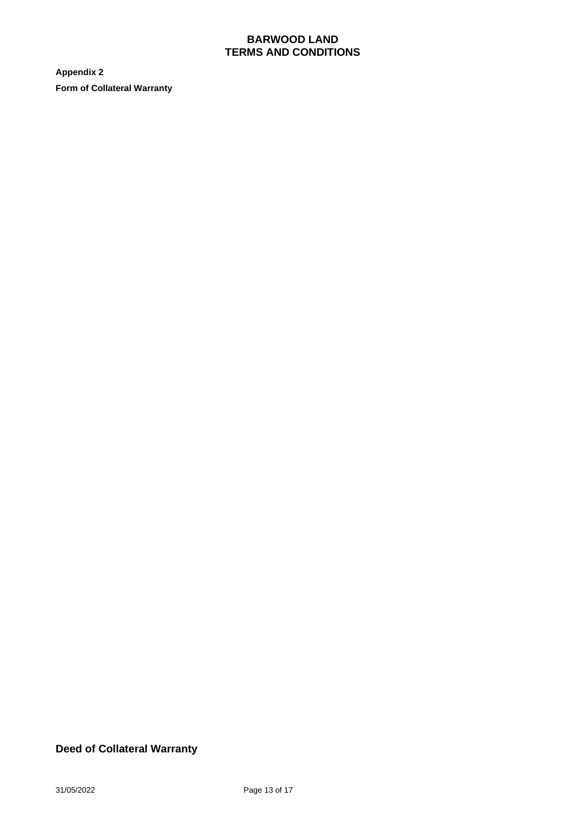**Appendix 2 Form of Collateral Warranty**

# **Deed of Collateral Warranty**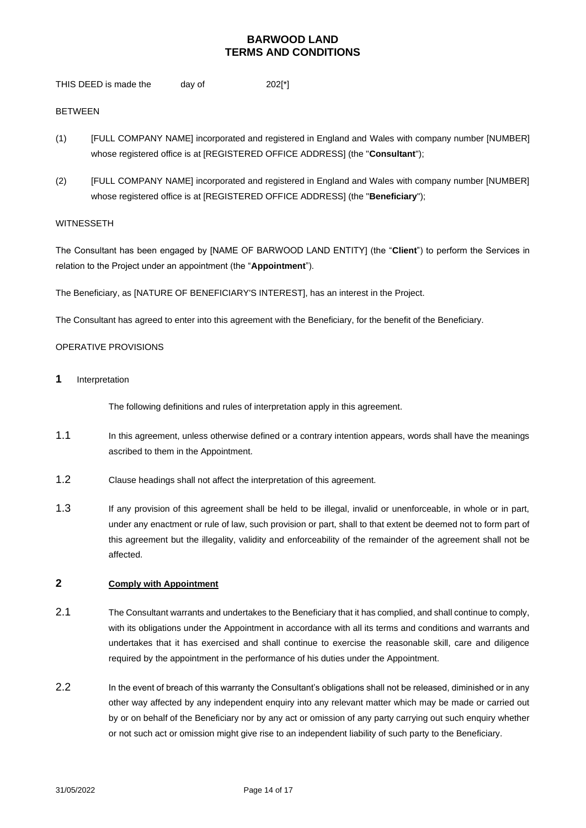THIS DEED is made the day of 202[\*]

### BETWEEN

- (1) [FULL COMPANY NAME] incorporated and registered in England and Wales with company number [NUMBER] whose registered office is at [REGISTERED OFFICE ADDRESS] (the "**Consultant**");
- (2) [FULL COMPANY NAME] incorporated and registered in England and Wales with company number [NUMBER] whose registered office is at [REGISTERED OFFICE ADDRESS] (the "**Beneficiary**");

#### **WITNESSETH**

The Consultant has been engaged by [NAME OF BARWOOD LAND ENTITY] (the "**Client**") to perform the Services in relation to the Project under an appointment (the "**Appointment**").

The Beneficiary, as [NATURE OF BENEFICIARY'S INTEREST], has an interest in the Project.

The Consultant has agreed to enter into this agreement with the Beneficiary, for the benefit of the Beneficiary.

#### OPERATIVE PROVISIONS

**1** Interpretation

The following definitions and rules of interpretation apply in this agreement.

- 1.1 In this agreement, unless otherwise defined or a contrary intention appears, words shall have the meanings ascribed to them in the Appointment.
- 1.2 Clause headings shall not affect the interpretation of this agreement.
- 1.3 If any provision of this agreement shall be held to be illegal, invalid or unenforceable, in whole or in part, under any enactment or rule of law, such provision or part, shall to that extent be deemed not to form part of this agreement but the illegality, validity and enforceability of the remainder of the agreement shall not be affected.

### **2 Comply with Appointment**

- 2.1 The Consultant warrants and undertakes to the Beneficiary that it has complied, and shall continue to comply, with its obligations under the Appointment in accordance with all its terms and conditions and warrants and undertakes that it has exercised and shall continue to exercise the reasonable skill, care and diligence required by the appointment in the performance of his duties under the Appointment.
- 2.2 In the event of breach of this warranty the Consultant's obligations shall not be released, diminished or in any other way affected by any independent enquiry into any relevant matter which may be made or carried out by or on behalf of the Beneficiary nor by any act or omission of any party carrying out such enquiry whether or not such act or omission might give rise to an independent liability of such party to the Beneficiary.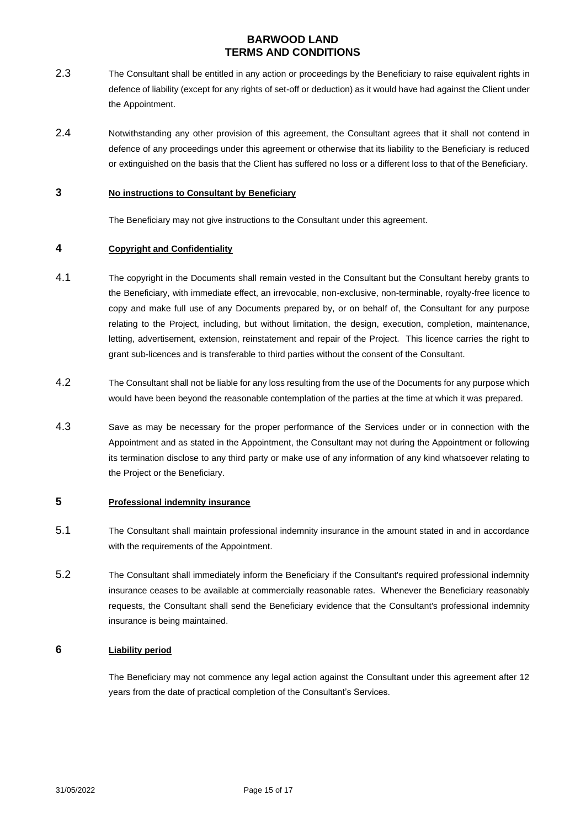- 2.3 The Consultant shall be entitled in any action or proceedings by the Beneficiary to raise equivalent rights in defence of liability (except for any rights of set-off or deduction) as it would have had against the Client under the Appointment.
- 2.4 Notwithstanding any other provision of this agreement, the Consultant agrees that it shall not contend in defence of any proceedings under this agreement or otherwise that its liability to the Beneficiary is reduced or extinguished on the basis that the Client has suffered no loss or a different loss to that of the Beneficiary.

### **3 No instructions to Consultant by Beneficiary**

The Beneficiary may not give instructions to the Consultant under this agreement.

### **4 Copyright and Confidentiality**

- 4.1 The copyright in the Documents shall remain vested in the Consultant but the Consultant hereby grants to the Beneficiary, with immediate effect, an irrevocable, non-exclusive, non-terminable, royalty-free licence to copy and make full use of any Documents prepared by, or on behalf of, the Consultant for any purpose relating to the Project, including, but without limitation, the design, execution, completion, maintenance, letting, advertisement, extension, reinstatement and repair of the Project. This licence carries the right to grant sub-licences and is transferable to third parties without the consent of the Consultant.
- 4.2 The Consultant shall not be liable for any loss resulting from the use of the Documents for any purpose which would have been beyond the reasonable contemplation of the parties at the time at which it was prepared.
- 4.3 Save as may be necessary for the proper performance of the Services under or in connection with the Appointment and as stated in the Appointment, the Consultant may not during the Appointment or following its termination disclose to any third party or make use of any information of any kind whatsoever relating to the Project or the Beneficiary.

## **5 Professional indemnity insurance**

- 5.1 The Consultant shall maintain professional indemnity insurance in the amount stated in and in accordance with the requirements of the Appointment.
- 5.2 The Consultant shall immediately inform the Beneficiary if the Consultant's required professional indemnity insurance ceases to be available at commercially reasonable rates. Whenever the Beneficiary reasonably requests, the Consultant shall send the Beneficiary evidence that the Consultant's professional indemnity insurance is being maintained.

### **6 Liability period**

The Beneficiary may not commence any legal action against the Consultant under this agreement after 12 years from the date of practical completion of the Consultant's Services.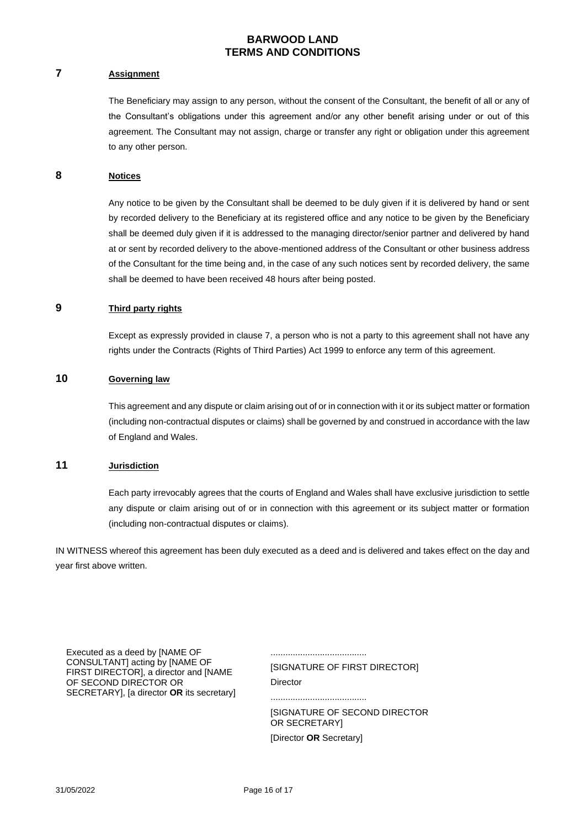## **7 Assignment**

The Beneficiary may assign to any person, without the consent of the Consultant, the benefit of all or any of the Consultant's obligations under this agreement and/or any other benefit arising under or out of this agreement. The Consultant may not assign, charge or transfer any right or obligation under this agreement to any other person.

### **8 Notices**

Any notice to be given by the Consultant shall be deemed to be duly given if it is delivered by hand or sent by recorded delivery to the Beneficiary at its registered office and any notice to be given by the Beneficiary shall be deemed duly given if it is addressed to the managing director/senior partner and delivered by hand at or sent by recorded delivery to the above-mentioned address of the Consultant or other business address of the Consultant for the time being and, in the case of any such notices sent by recorded delivery, the same shall be deemed to have been received 48 hours after being posted.

### **9 Third party rights**

Except as expressly provided in clause 7, a person who is not a party to this agreement shall not have any rights under the Contracts (Rights of Third Parties) Act 1999 to enforce any term of this agreement.

### **10 Governing law**

This agreement and any dispute or claim arising out of or in connection with it or its subject matter or formation (including non-contractual disputes or claims) shall be governed by and construed in accordance with the law of England and Wales.

### **11 Jurisdiction**

Each party irrevocably agrees that the courts of England and Wales shall have exclusive jurisdiction to settle any dispute or claim arising out of or in connection with this agreement or its subject matter or formation (including non-contractual disputes or claims).

.......................................

IN WITNESS whereof this agreement has been duly executed as a deed and is delivered and takes effect on the day and year first above written.

Executed as a deed by [NAME OF CONSULTANT] acting by [NAME OF FIRST DIRECTOR], a director and [NAME OF SECOND DIRECTOR OR SECRETARY], [a director **OR** its secretary]

[SIGNATURE OF FIRST DIRECTOR] **Director** .......................................

[SIGNATURE OF SECOND DIRECTOR OR SECRETARY] [Director **OR** Secretary]